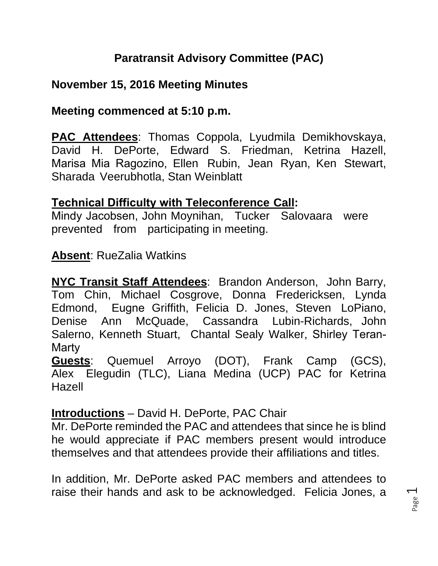# **Paratransit Advisory Committee (PAC)**

### **November 15, 2016 Meeting Minutes**

#### **Meeting commenced at 5:10 p.m.**

**PAC Attendees**: Thomas Coppola, Lyudmila Demikhovskaya, David H. DePorte, Edward S. Friedman, Ketrina Hazell, Marisa Mia Ragozino, Ellen Rubin, Jean Ryan, Ken Stewart, Sharada Veerubhotla, Stan Weinblatt

#### **Technical Difficulty with Teleconference Call:**

Mindy Jacobsen, John Moynihan, Tucker Salovaara were prevented from participating in meeting.

### **Absent**: RueZalia Watkins

**NYC Transit Staff Attendees**: Brandon Anderson, John Barry, Tom Chin, Michael Cosgrove, Donna Fredericksen, Lynda Edmond, Eugne Griffith, Felicia D. Jones, Steven LoPiano, Denise Ann McQuade, Cassandra Lubin-Richards, John Salerno, Kenneth Stuart, Chantal Sealy Walker, Shirley Teran-**Marty** 

**Guests**: Quemuel Arroyo (DOT), Frank Camp (GCS), Alex Elegudin (TLC), Liana Medina (UCP) PAC for Ketrina Hazell

### **Introductions** – David H. DePorte, PAC Chair

Mr. DePorte reminded the PAC and attendees that since he is blind he would appreciate if PAC members present would introduce themselves and that attendees provide their affiliations and titles.

In addition, Mr. DePorte asked PAC members and attendees to raise their hands and ask to be acknowledged. Felicia Jones, a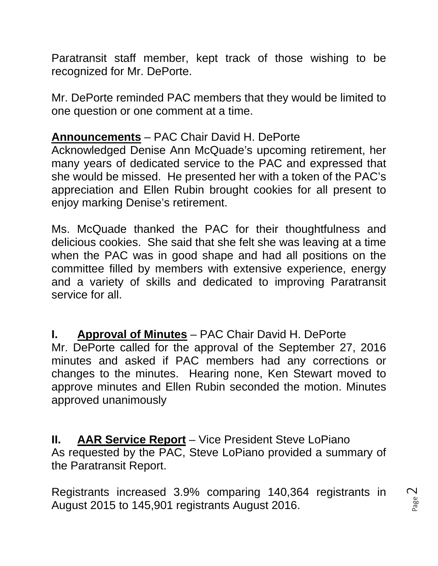Paratransit staff member, kept track of those wishing to be recognized for Mr. DePorte.

Mr. DePorte reminded PAC members that they would be limited to one question or one comment at a time.

### **Announcements** – PAC Chair David H. DePorte

Acknowledged Denise Ann McQuade's upcoming retirement, her many years of dedicated service to the PAC and expressed that she would be missed. He presented her with a token of the PAC's appreciation and Ellen Rubin brought cookies for all present to enjoy marking Denise's retirement.

Ms. McQuade thanked the PAC for their thoughtfulness and delicious cookies. She said that she felt she was leaving at a time when the PAC was in good shape and had all positions on the committee filled by members with extensive experience, energy and a variety of skills and dedicated to improving Paratransit service for all.

**I. Approval of Minutes** – PAC Chair David H. DePorte Mr. DePorte called for the approval of the September 27, 2016 minutes and asked if PAC members had any corrections or changes to the minutes. Hearing none, Ken Stewart moved to approve minutes and Ellen Rubin seconded the motion. Minutes approved unanimously

**II. AAR Service Report** – Vice President Steve LoPiano As requested by the PAC, Steve LoPiano provided a summary of the Paratransit Report.

Registrants increased 3.9% comparing 140,364 registrants in August 2015 to 145,901 registrants August 2016.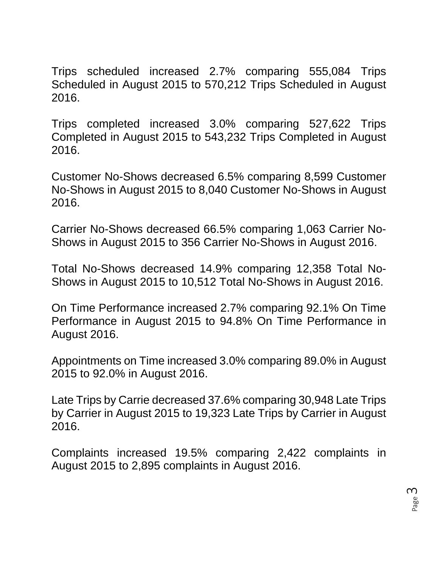Trips scheduled increased 2.7% comparing 555,084 Trips Scheduled in August 2015 to 570,212 Trips Scheduled in August 2016.

Trips completed increased 3.0% comparing 527,622 Trips Completed in August 2015 to 543,232 Trips Completed in August 2016.

Customer No-Shows decreased 6.5% comparing 8,599 Customer No-Shows in August 2015 to 8,040 Customer No-Shows in August 2016.

Carrier No-Shows decreased 66.5% comparing 1,063 Carrier No-Shows in August 2015 to 356 Carrier No-Shows in August 2016.

Total No-Shows decreased 14.9% comparing 12,358 Total No-Shows in August 2015 to 10,512 Total No-Shows in August 2016.

On Time Performance increased 2.7% comparing 92.1% On Time Performance in August 2015 to 94.8% On Time Performance in August 2016.

Appointments on Time increased 3.0% comparing 89.0% in August 2015 to 92.0% in August 2016.

Late Trips by Carrie decreased 37.6% comparing 30,948 Late Trips by Carrier in August 2015 to 19,323 Late Trips by Carrier in August 2016.

Complaints increased 19.5% comparing 2,422 complaints in August 2015 to 2,895 complaints in August 2016.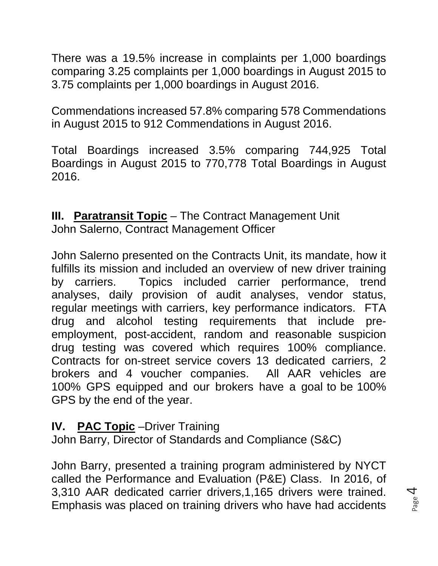There was a 19.5% increase in complaints per 1,000 boardings comparing 3.25 complaints per 1,000 boardings in August 2015 to 3.75 complaints per 1,000 boardings in August 2016.

Commendations increased 57.8% comparing 578 Commendations in August 2015 to 912 Commendations in August 2016.

Total Boardings increased 3.5% comparing 744,925 Total Boardings in August 2015 to 770,778 Total Boardings in August 2016.

**III. Paratransit Topic** – The Contract Management Unit John Salerno, Contract Management Officer

John Salerno presented on the Contracts Unit, its mandate, how it fulfills its mission and included an overview of new driver training by carriers. Topics included carrier performance, trend analyses, daily provision of audit analyses, vendor status, regular meetings with carriers, key performance indicators. FTA drug and alcohol testing requirements that include preemployment, post-accident, random and reasonable suspicion drug testing was covered which requires 100% compliance. Contracts for on-street service covers 13 dedicated carriers, 2 brokers and 4 voucher companies. All AAR vehicles are 100% GPS equipped and our brokers have a goal to be 100% GPS by the end of the year.

### **IV.** PAC Topic –Driver Training

John Barry, Director of Standards and Compliance (S&C)

John Barry, presented a training program administered by NYCT called the Performance and Evaluation (P&E) Class. In 2016, of 3,310 AAR dedicated carrier drivers,1,165 drivers were trained. Emphasis was placed on training drivers who have had accidents

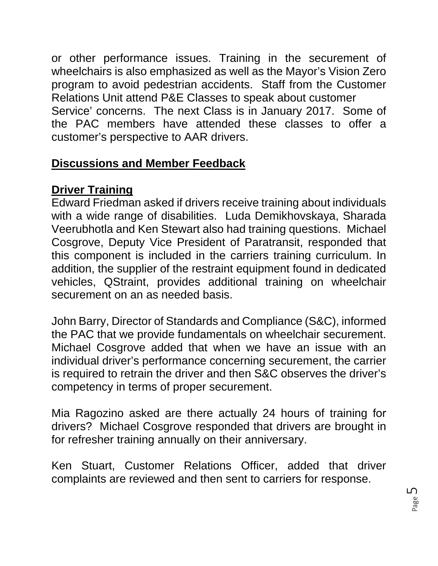or other performance issues. Training in the securement of wheelchairs is also emphasized as well as the Mayor's Vision Zero program to avoid pedestrian accidents. Staff from the Customer Relations Unit attend P&E Classes to speak about customer Service' concerns. The next Class is in January 2017. Some of the PAC members have attended these classes to offer a customer's perspective to AAR drivers.

# **Discussions and Member Feedback**

# **Driver Training**

Edward Friedman asked if drivers receive training about individuals with a wide range of disabilities. Luda Demikhovskaya, Sharada Veerubhotla and Ken Stewart also had training questions. Michael Cosgrove, Deputy Vice President of Paratransit, responded that this component is included in the carriers training curriculum. In addition, the supplier of the restraint equipment found in dedicated vehicles, QStraint, provides additional training on wheelchair securement on an as needed basis.

John Barry, Director of Standards and Compliance (S&C), informed the PAC that we provide fundamentals on wheelchair securement. Michael Cosgrove added that when we have an issue with an individual driver's performance concerning securement, the carrier is required to retrain the driver and then S&C observes the driver's competency in terms of proper securement.

Mia Ragozino asked are there actually 24 hours of training for drivers? Michael Cosgrove responded that drivers are brought in for refresher training annually on their anniversary.

Ken Stuart, Customer Relations Officer, added that driver complaints are reviewed and then sent to carriers for response.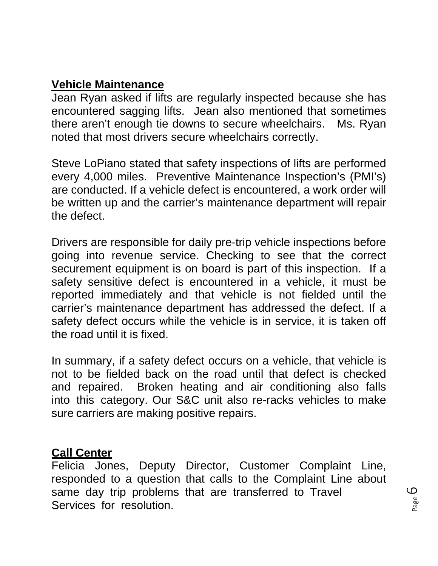### **Vehicle Maintenance**

Jean Ryan asked if lifts are regularly inspected because she has encountered sagging lifts. Jean also mentioned that sometimes there aren't enough tie downs to secure wheelchairs. Ms. Ryan noted that most drivers secure wheelchairs correctly.

Steve LoPiano stated that safety inspections of lifts are performed every 4,000 miles. Preventive Maintenance Inspection's (PMI's) are conducted. If a vehicle defect is encountered, a work order will be written up and the carrier's maintenance department will repair the defect.

Drivers are responsible for daily pre-trip vehicle inspections before going into revenue service. Checking to see that the correct securement equipment is on board is part of this inspection. If a safety sensitive defect is encountered in a vehicle, it must be reported immediately and that vehicle is not fielded until the carrier's maintenance department has addressed the defect. If a safety defect occurs while the vehicle is in service, it is taken off the road until it is fixed.

In summary, if a safety defect occurs on a vehicle, that vehicle is not to be fielded back on the road until that defect is checked and repaired. Broken heating and air conditioning also falls into this category. Our S&C unit also re-racks vehicles to make sure carriers are making positive repairs.

#### **Call Center**

Felicia Jones, Deputy Director, Customer Complaint Line, responded to a question that calls to the Complaint Line about same day trip problems that are transferred to Travel Services for resolution.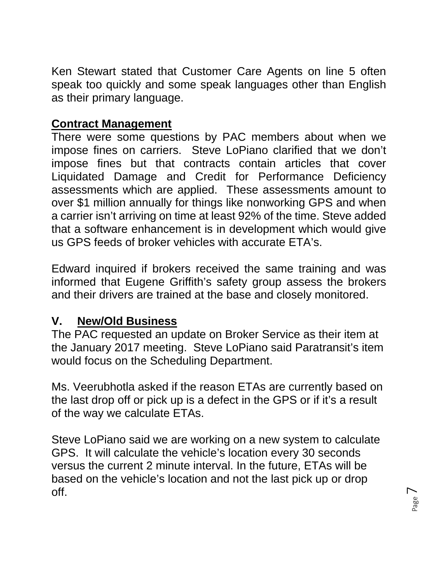Ken Stewart stated that Customer Care Agents on line 5 often speak too quickly and some speak languages other than English as their primary language.

# **Contract Management**

There were some questions by PAC members about when we impose fines on carriers. Steve LoPiano clarified that we don't impose fines but that contracts contain articles that cover Liquidated Damage and Credit for Performance Deficiency assessments which are applied. These assessments amount to over \$1 million annually for things like nonworking GPS and when a carrier isn't arriving on time at least 92% of the time. Steve added that a software enhancement is in development which would give us GPS feeds of broker vehicles with accurate ETA's.

Edward inquired if brokers received the same training and was informed that Eugene Griffith's safety group assess the brokers and their drivers are trained at the base and closely monitored.

# **V. New/Old Business**

The PAC requested an update on Broker Service as their item at the January 2017 meeting. Steve LoPiano said Paratransit's item would focus on the Scheduling Department.

Ms. Veerubhotla asked if the reason ETAs are currently based on the last drop off or pick up is a defect in the GPS or if it's a result of the way we calculate ETAs.

Steve LoPiano said we are working on a new system to calculate GPS. It will calculate the vehicle's location every 30 seconds versus the current 2 minute interval. In the future, ETAs will be based on the vehicle's location and not the last pick up or drop off.